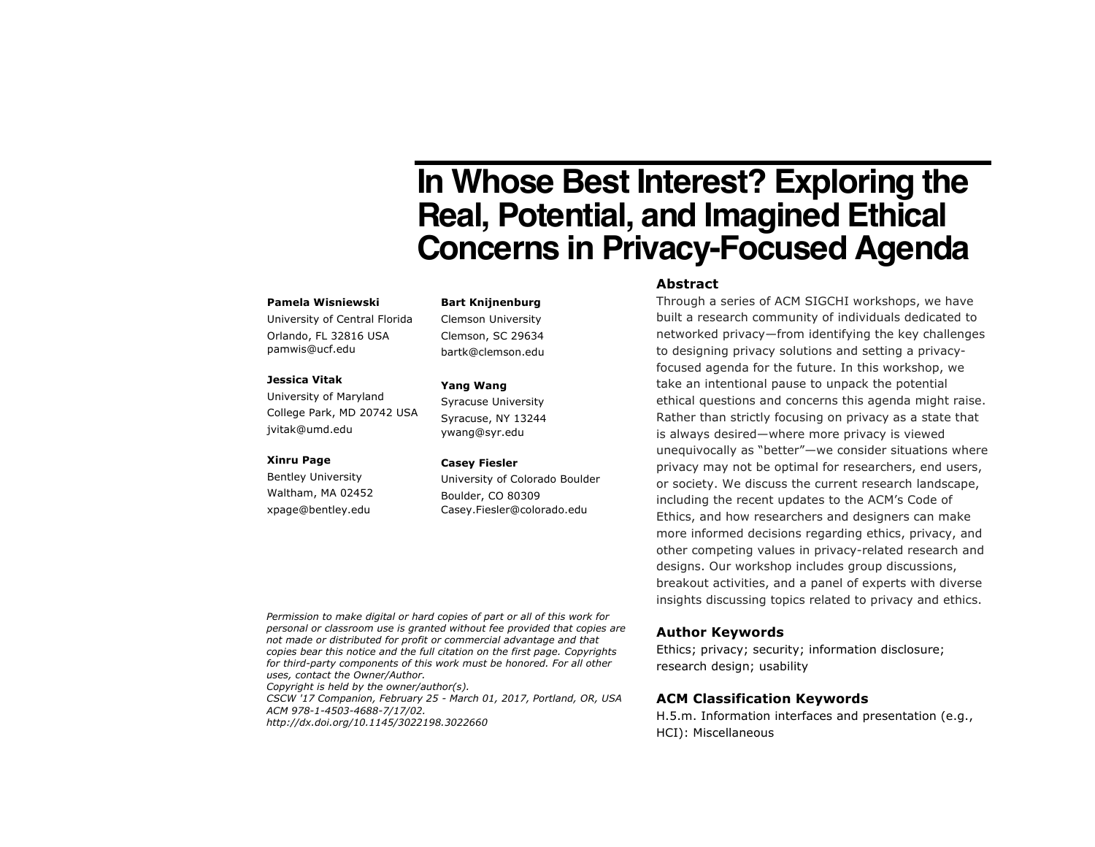# **In Whose Best Interest? Exploring the Real, Potential, and Imagined Ethical Concerns in Privacy-Focused Agenda**

#### **Pamela Wisniewski**

University of Central Florida Orlando, FL 32816 USA pamwis@ucf.edu

## **Jessica Vitak**

University of Maryland College Park, MD 20742 USA jvitak@umd.edu

#### **Xinru Page**

Bentley University Waltham, MA 02452 xpage@bentley.edu

**Bart Knijnenburg**

Clemson University Clemson, SC 29634 bartk@clemson.edu

#### **Yang Wang**

Syracuse University Syracuse, NY 13244 ywang@syr.edu

#### **Casey Fiesler**

University of Colorado Boulder Boulder, CO 80309 Casey.Fiesler@colorado.edu

#### **Abstract**

Through a series of ACM SIGCHI workshops, we have built a research community of individuals dedicated to networked privacy—from identifying the key challenges to designing privacy solutions and setting a privacyfocused agenda for the future. In this workshop, we take an intentional pause to unpack the potential ethical questions and concerns this agenda might raise. Rather than strictly focusing on privacy as a state that is always desired—where more privacy is viewed unequivocally as "better"—we consider situations where privacy may not be optimal for researchers, end users, or society. We discuss the current research landscape, including the recent updates to the ACM's Code of Ethics, and how researchers and designers can make more informed decisions regarding ethics, privacy, and other competing values in privacy-related research and designs. Our workshop includes group discussions, breakout activities, and a panel of experts with diverse insights discussing topics related to privacy and ethics.

Permission to make digital or hard copies of part or all of this work for *personal or classroom use is granted without fee provided that copies are not made or distributed for profit or commercial advantage and that copies bear this notice and the full citation on the first page. Copyrights for third-party components of this work must be honored. For all other uses, contact the Owner/Author.* 

*Copyright is held by the owner/author(s). CSCW '17 Companion, February 25 - March 01, 2017, Portland, OR, USA ACM 978-1-4503-4688-7/17/02. http://dx.doi.org/10.1145/3022198.3022660*

#### **Author Keywords**

Ethics; privacy; security; information disclosure; research design; usability

#### **ACM Classification Keywords**

H.5.m. Information interfaces and presentation (e.g., HCI): Miscellaneous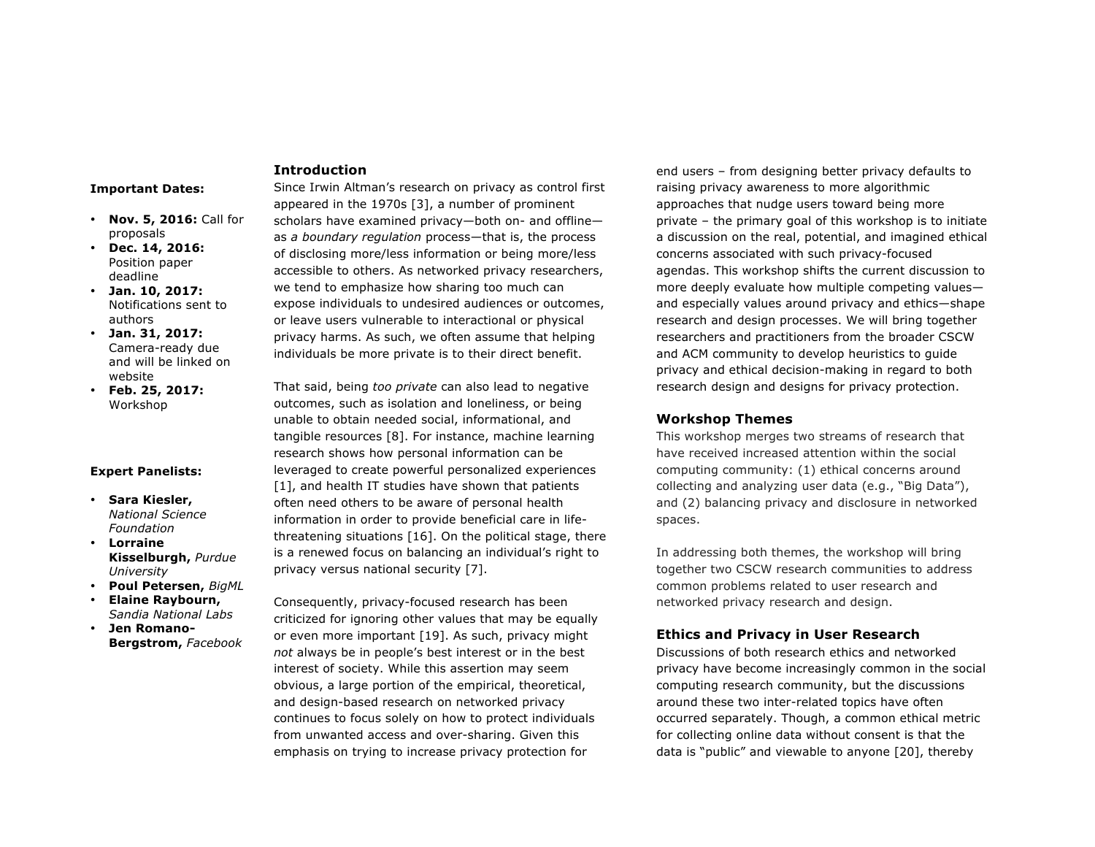#### **Important Dates:**

- **Nov. 5, 2016:** Call for proposals
- **Dec. 14, 2016:**  Position paper deadline
- **Jan. 10, 2017:**  Notifications sent to authors
- **Jan. 31, 2017:**  Camera-ready due and will be linked on website
- **Feb. 25, 2017:** Workshop

#### **Expert Panelists:**

- **Sara Kiesler,**  *National Science Foundation*
- **Lorraine Kisselburgh,** *Purdue University*
- **Poul Petersen,** *BigML*
- **Elaine Raybourn,**  *Sandia National Labs*
- **Jen Romano-Bergstrom,** *Facebook*

## **Introduction**

Since Irwin Altman's research on privacy as control first appeared in the 1970s [3], a number of prominent scholars have examined privacy—both on- and offline as *a boundary regulation* process—that is, the process of disclosing more/less information or being more/less accessible to others. As networked privacy researchers, we tend to emphasize how sharing too much can expose individuals to undesired audiences or outcomes, or leave users vulnerable to interactional or physical privacy harms. As such, we often assume that helping individuals be more private is to their direct benefit.

That said, being *too private* can also lead to negative outcomes, such as isolation and loneliness, or being unable to obtain needed social, informational, and tangible resources [8]. For instance, machine learning research shows how personal information can be leveraged to create powerful personalized experiences [1], and health IT studies have shown that patients often need others to be aware of personal health information in order to provide beneficial care in lifethreatening situations [16]. On the political stage, there is a renewed focus on balancing an individual's right to privacy versus national security [7].

Consequently, privacy-focused research has been criticized for ignoring other values that may be equally or even more important [19]. As such, privacy might *not* always be in people's best interest or in the best interest of society. While this assertion may seem obvious, a large portion of the empirical, theoretical, and design-based research on networked privacy continues to focus solely on how to protect individuals from unwanted access and over-sharing. Given this emphasis on trying to increase privacy protection for

end users – from designing better privacy defaults to raising privacy awareness to more algorithmic approaches that nudge users toward being more private – the primary goal of this workshop is to initiate a discussion on the real, potential, and imagined ethical concerns associated with such privacy-focused agendas. This workshop shifts the current discussion to more deeply evaluate how multiple competing values and especially values around privacy and ethics—shape research and design processes. We will bring together researchers and practitioners from the broader CSCW and ACM community to develop heuristics to guide privacy and ethical decision-making in regard to both research design and designs for privacy protection.

## **Workshop Themes**

This workshop merges two streams of research that have received increased attention within the social computing community: (1) ethical concerns around collecting and analyzing user data (e.g., "Big Data"), and (2) balancing privacy and disclosure in networked spaces.

In addressing both themes, the workshop will bring together two CSCW research communities to address common problems related to user research and networked privacy research and design.

## **Ethics and Privacy in User Research**

Discussions of both research ethics and networked privacy have become increasingly common in the social computing research community, but the discussions around these two inter-related topics have often occurred separately. Though, a common ethical metric for collecting online data without consent is that the data is "public" and viewable to anyone [20], thereby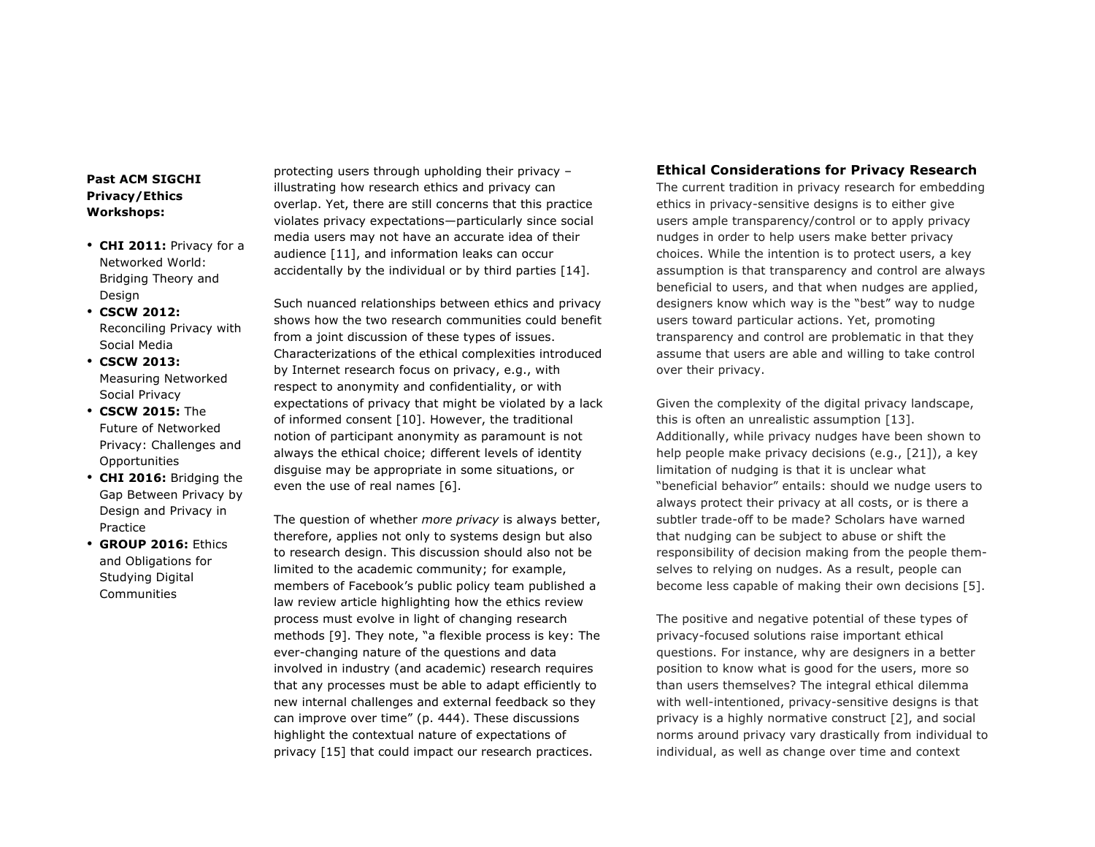# **Past ACM SIGCHI Privacy/Ethics Workshops:**

- **CHI 2011:** Privacy for a Networked World: Bridging Theory and Design
- **CSCW 2012:** Reconciling Privacy with Social Media
- **CSCW 2013:** Measuring Networked Social Privacy
- **CSCW 2015:** The Future of Networked Privacy: Challenges and **Opportunities**
- **CHI 2016:** Bridging the Gap Between Privacy by Design and Privacy in Practice
- **GROUP 2016:** Ethics and Obligations for Studying Digital **Communities**

protecting users through upholding their privacy – illustrating how research ethics and privacy can overlap. Yet, there are still concerns that this practice violates privacy expectations—particularly since social media users may not have an accurate idea of their audience [11], and information leaks can occur accidentally by the individual or by third parties [14].

Such nuanced relationships between ethics and privacy shows how the two research communities could benefit from a joint discussion of these types of issues. Characterizations of the ethical complexities introduced by Internet research focus on privacy, e.g., with respect to anonymity and confidentiality, or with expectations of privacy that might be violated by a lack of informed consent [10]. However, the traditional notion of participant anonymity as paramount is not always the ethical choice; different levels of identity disguise may be appropriate in some situations, or even the use of real names [6].

The question of whether *more privacy* is always better, therefore, applies not only to systems design but also to research design. This discussion should also not be limited to the academic community; for example, members of Facebook's public policy team published a law review article highlighting how the ethics review process must evolve in light of changing research methods [9]. They note, "a flexible process is key: The ever-changing nature of the questions and data involved in industry (and academic) research requires that any processes must be able to adapt efficiently to new internal challenges and external feedback so they can improve over time" (p. 444). These discussions highlight the contextual nature of expectations of privacy [15] that could impact our research practices.

## **Ethical Considerations for Privacy Research**

The current tradition in privacy research for embedding ethics in privacy-sensitive designs is to either give users ample transparency/control or to apply privacy nudges in order to help users make better privacy choices. While the intention is to protect users, a key assumption is that transparency and control are always beneficial to users, and that when nudges are applied, designers know which way is the "best" way to nudge users toward particular actions. Yet, promoting transparency and control are problematic in that they assume that users are able and willing to take control over their privacy.

Given the complexity of the digital privacy landscape, this is often an unrealistic assumption [13]. Additionally, while privacy nudges have been shown to help people make privacy decisions (e.g., [21]), a key limitation of nudging is that it is unclear what "beneficial behavior" entails: should we nudge users to always protect their privacy at all costs, or is there a subtler trade-off to be made? Scholars have warned that nudging can be subject to abuse or shift the responsibility of decision making from the people themselves to relying on nudges. As a result, people can become less capable of making their own decisions [5].

The positive and negative potential of these types of privacy-focused solutions raise important ethical questions. For instance, why are designers in a better position to know what is good for the users, more so than users themselves? The integral ethical dilemma with well-intentioned, privacy-sensitive designs is that privacy is a highly normative construct [2], and social norms around privacy vary drastically from individual to individual, as well as change over time and context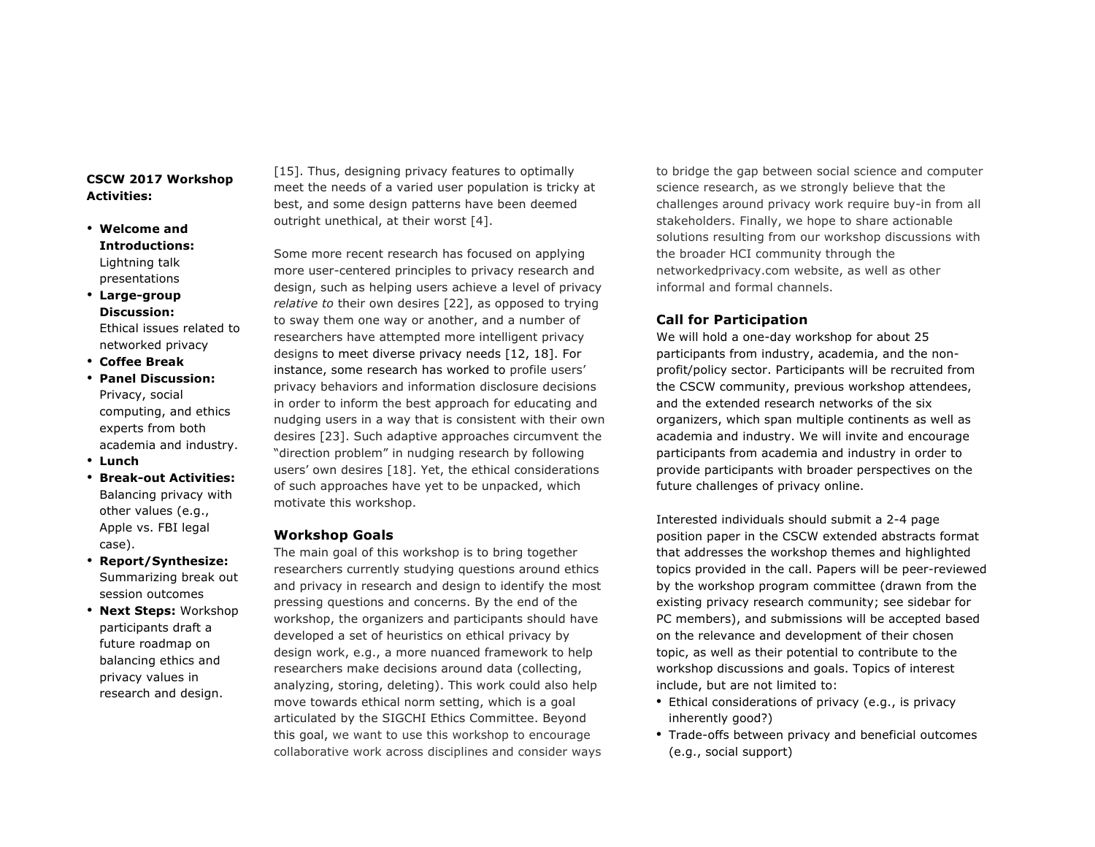## **CSCW 2017 Workshop Activities:**

- **Welcome and Introductions:** Lightning talk presentations
- **Large-group Discussion:** Ethical issues related to networked privacy
- **Coffee Break**
- **Panel Discussion:** Privacy, social computing, and ethics experts from both academia and industry.
- **Lunch**
- **Break-out Activities:** Balancing privacy with other values (e.g., Apple vs. FBI legal case).
- **Report/Synthesize:**  Summarizing break out session outcomes
- **Next Steps:** Workshop participants draft a future roadmap on balancing ethics and privacy values in research and design.

[15]. Thus, designing privacy features to optimally meet the needs of a varied user population is tricky at best, and some design patterns have been deemed outright unethical, at their worst [4].

Some more recent research has focused on applying more user-centered principles to privacy research and design, such as helping users achieve a level of privacy *relative to* their own desires [22], as opposed to trying to sway them one way or another, and a number of researchers have attempted more intelligent privacy designs to meet diverse privacy needs [12, 18]. For instance, some research has worked to profile users' privacy behaviors and information disclosure decisions in order to inform the best approach for educating and nudging users in a way that is consistent with their own desires [23]. Such adaptive approaches circumvent the "direction problem" in nudging research by following users' own desires [18]. Yet, the ethical considerations of such approaches have yet to be unpacked, which motivate this workshop.

## **Workshop Goals**

The main goal of this workshop is to bring together researchers currently studying questions around ethics and privacy in research and design to identify the most pressing questions and concerns. By the end of the workshop, the organizers and participants should have developed a set of heuristics on ethical privacy by design work, e.g., a more nuanced framework to help researchers make decisions around data (collecting, analyzing, storing, deleting). This work could also help move towards ethical norm setting, which is a goal articulated by the SIGCHI Ethics Committee. Beyond this goal, we want to use this workshop to encourage collaborative work across disciplines and consider ways

to bridge the gap between social science and computer science research, as we strongly believe that the challenges around privacy work require buy-in from all stakeholders. Finally, we hope to share actionable solutions resulting from our workshop discussions with the broader HCI community through the networkedprivacy.com website, as well as other informal and formal channels.

# **Call for Participation**

We will hold a one-day workshop for about 25 participants from industry, academia, and the nonprofit/policy sector. Participants will be recruited from the CSCW community, previous workshop attendees, and the extended research networks of the six organizers, which span multiple continents as well as academia and industry. We will invite and encourage participants from academia and industry in order to provide participants with broader perspectives on the future challenges of privacy online.

Interested individuals should submit a 2-4 page position paper in the CSCW extended abstracts format that addresses the workshop themes and highlighted topics provided in the call. Papers will be peer-reviewed by the workshop program committee (drawn from the existing privacy research community; see sidebar for PC members), and submissions will be accepted based on the relevance and development of their chosen topic, as well as their potential to contribute to the workshop discussions and goals. Topics of interest include, but are not limited to:

- Ethical considerations of privacy (e.g., is privacy inherently good?)
- Trade-offs between privacy and beneficial outcomes (e.g., social support)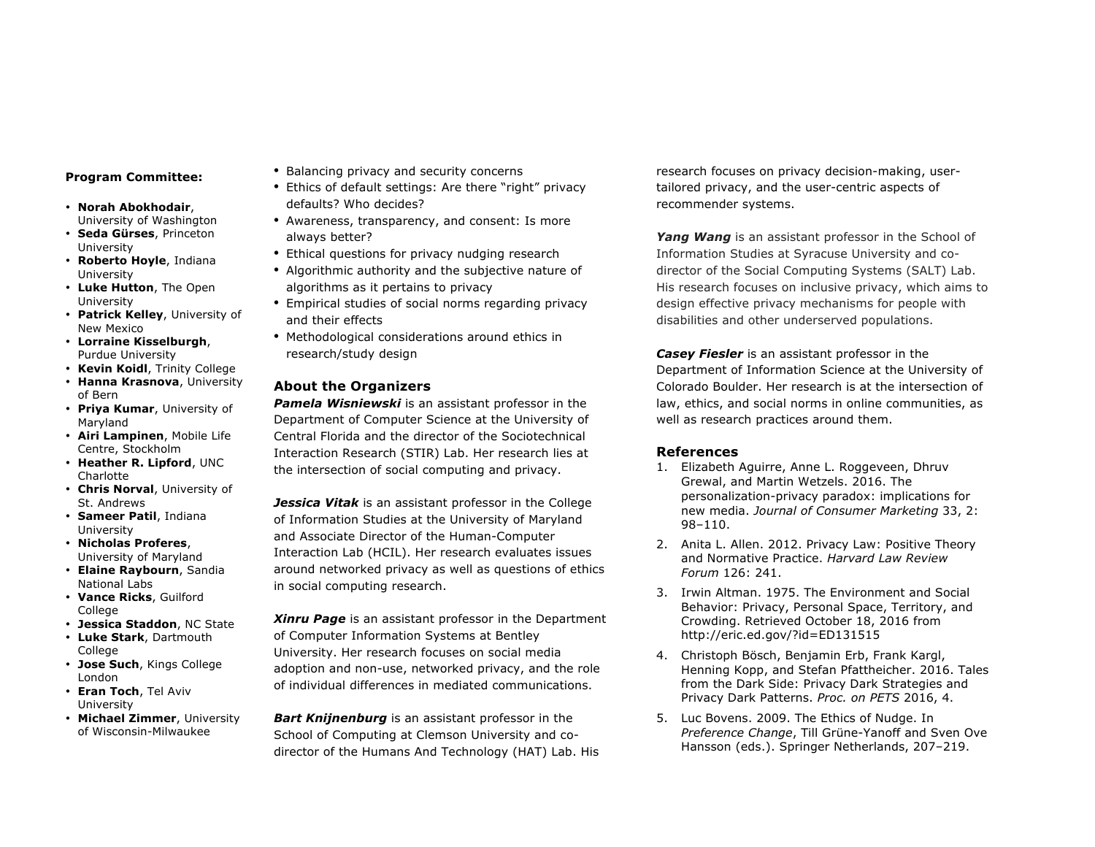## **Program Committee:**

- **Norah Abokhodair**,
- University of Washington • **Seda Gürses**, Princeton University
- **Roberto Hoyle**, Indiana University
- **Luke Hutton**, The Open University
- **Patrick Kelley**, University of New Mexico
- **Lorraine Kisselburgh**, Purdue University
- **Kevin Koidl**, Trinity College
- **Hanna Krasnova**, University of Bern
- **Priya Kumar**, University of Maryland
- **Airi Lampinen**, Mobile Life Centre, Stockholm
- **Heather R. Lipford**, UNC Charlotte
- **Chris Norval**, University of St. Andrews
- **Sameer Patil**, Indiana University
- **Nicholas Proferes**, University of Maryland
- **Elaine Raybourn**, Sandia National Labs
- **Vance Ricks**, Guilford College
- **Jessica Staddon**, NC State
- **Luke Stark**, Dartmouth College
- **Jose Such**, Kings College London
- **Eran Toch**, Tel Aviv University
- **Michael Zimmer**, University of Wisconsin-Milwaukee
- Balancing privacy and security concerns
- Ethics of default settings: Are there "right" privacy defaults? Who decides?
- Awareness, transparency, and consent: Is more always better?
- Ethical questions for privacy nudging research
- Algorithmic authority and the subjective nature of algorithms as it pertains to privacy
- Empirical studies of social norms regarding privacy and their effects
- Methodological considerations around ethics in research/study design

# **About the Organizers**

*Pamela Wisniewski* is an assistant professor in the Department of Computer Science at the University of Central Florida and the director of the Sociotechnical Interaction Research (STIR) Lab. Her research lies at the intersection of social computing and privacy.

*Jessica Vitak* is an assistant professor in the College of Information Studies at the University of Maryland and Associate Director of the Human-Computer Interaction Lab (HCIL). Her research evaluates issues around networked privacy as well as questions of ethics in social computing research.

*Xinru Page* is an assistant professor in the Department of Computer Information Systems at Bentley University. Her research focuses on social media adoption and non-use, networked privacy, and the role of individual differences in mediated communications.

*Bart Knijnenburg* is an assistant professor in the School of Computing at Clemson University and codirector of the Humans And Technology (HAT) Lab. His

research focuses on privacy decision-making, usertailored privacy, and the user-centric aspects of recommender systems.

*Yang Wang* is an assistant professor in the School of Information Studies at Syracuse University and codirector of the Social Computing Systems (SALT) Lab. His research focuses on inclusive privacy, which aims to design effective privacy mechanisms for people with disabilities and other underserved populations.

*Casey Fiesler* is an assistant professor in the Department of Information Science at the University of Colorado Boulder. Her research is at the intersection of law, ethics, and social norms in online communities, as well as research practices around them.

## **References**

- 1. Elizabeth Aguirre, Anne L. Roggeveen, Dhruv Grewal, and Martin Wetzels. 2016. The personalization-privacy paradox: implications for new media. *Journal of Consumer Marketing* 33, 2: 98–110.
- 2. Anita L. Allen. 2012. Privacy Law: Positive Theory and Normative Practice. *Harvard Law Review Forum* 126: 241.
- 3. Irwin Altman. 1975. The Environment and Social Behavior: Privacy, Personal Space, Territory, and Crowding. Retrieved October 18, 2016 from http://eric.ed.gov/?id=ED131515
- 4. Christoph Bösch, Benjamin Erb, Frank Kargl, Henning Kopp, and Stefan Pfattheicher. 2016. Tales from the Dark Side: Privacy Dark Strategies and Privacy Dark Patterns. *Proc. on PETS* 2016, 4.
- 5. Luc Bovens. 2009. The Ethics of Nudge. In *Preference Change*, Till Grüne-Yanoff and Sven Ove Hansson (eds.). Springer Netherlands, 207–219.